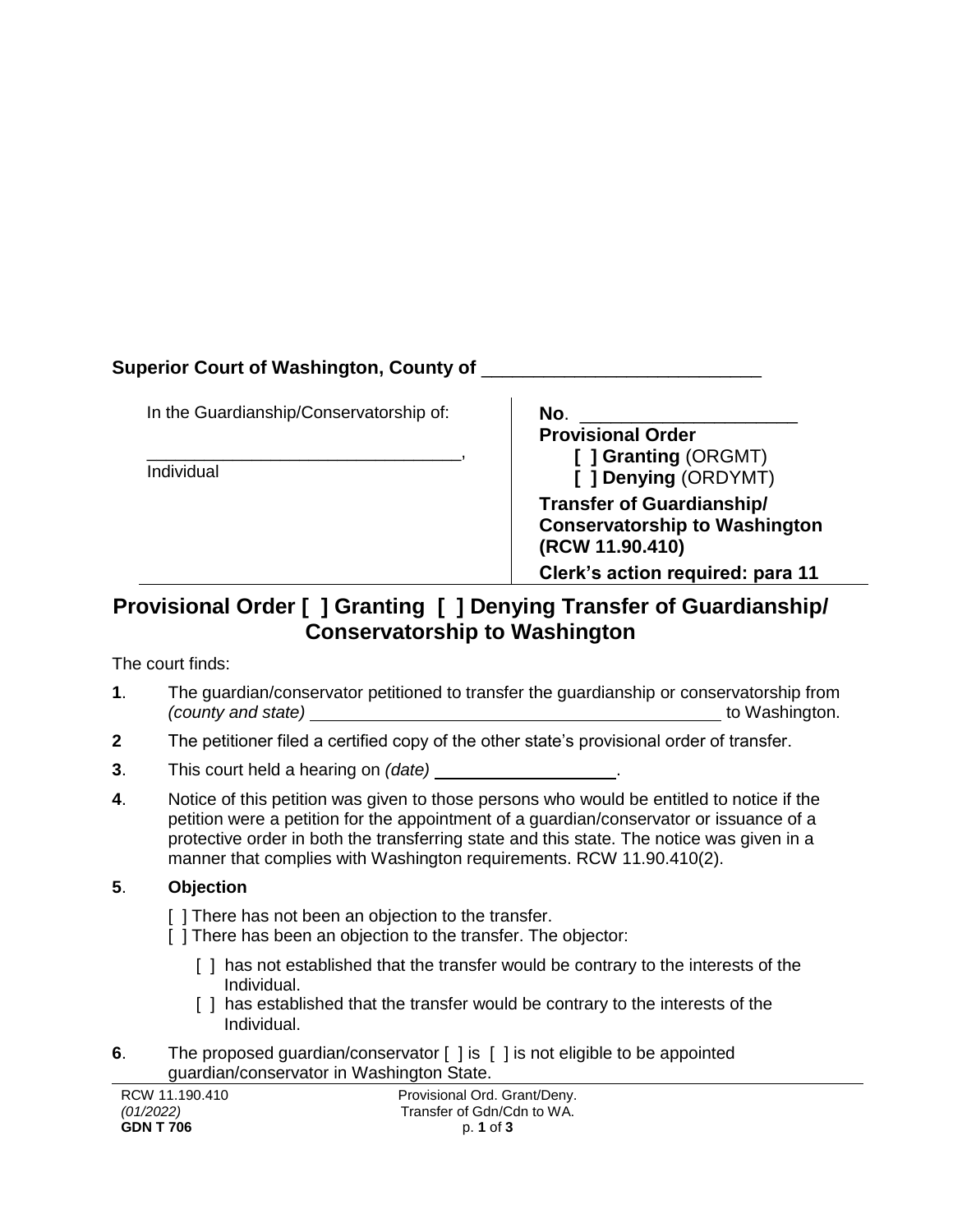## **Superior Court of Washington, County of** \_\_\_\_\_\_\_\_\_\_\_\_\_\_\_\_\_\_\_\_\_\_\_\_\_\_\_

In the Guardianship/Conservatorship of:

\_\_\_\_\_\_\_\_\_\_\_\_\_\_\_\_\_\_\_\_\_\_\_\_\_\_\_\_\_\_\_\_\_, Individual

| No. |                                      |
|-----|--------------------------------------|
|     | <b>Provisional Order</b>             |
|     | [ ] Granting (ORGMT)                 |
|     | [ ] Denying (ORDYMT)                 |
|     | <b>Transfer of Guardianship/</b>     |
|     | <b>Conservatorship to Washington</b> |
|     | (RCW 11.90.410)                      |
|     | Clerk's action required: para 11     |

# **Provisional Order [ ] Granting [ ] Denying Transfer of Guardianship/ Conservatorship to Washington**

The court finds:

- **1**. The guardian/conservator petitioned to transfer the guardianship or conservatorship from *(county and state)* to Washington.
- **2** The petitioner filed a certified copy of the other state's provisional order of transfer.
- **3**. This court held a hearing on *(date)* .
- **4**. Notice of this petition was given to those persons who would be entitled to notice if the petition were a petition for the appointment of a guardian/conservator or issuance of a protective order in both the transferring state and this state. The notice was given in a manner that complies with Washington requirements. RCW 11.90.410(2).

#### **5**. **Objection**

- [] There has not been an objection to the transfer.
- [ ] There has been an objection to the transfer. The objector:
	- [ ] has not established that the transfer would be contrary to the interests of the Individual.
	- [] has established that the transfer would be contrary to the interests of the Individual.
- **6**. The proposed guardian/conservator [ ] is [ ] is not eligible to be appointed guardian/conservator in Washington State.

| RCW 11.190.410   | Provisional Ord. Grant/Deny. |
|------------------|------------------------------|
| (01/2022)        | Transfer of Gdn/Cdn to WA.   |
| <b>GDN T 706</b> | p. 1 of 3                    |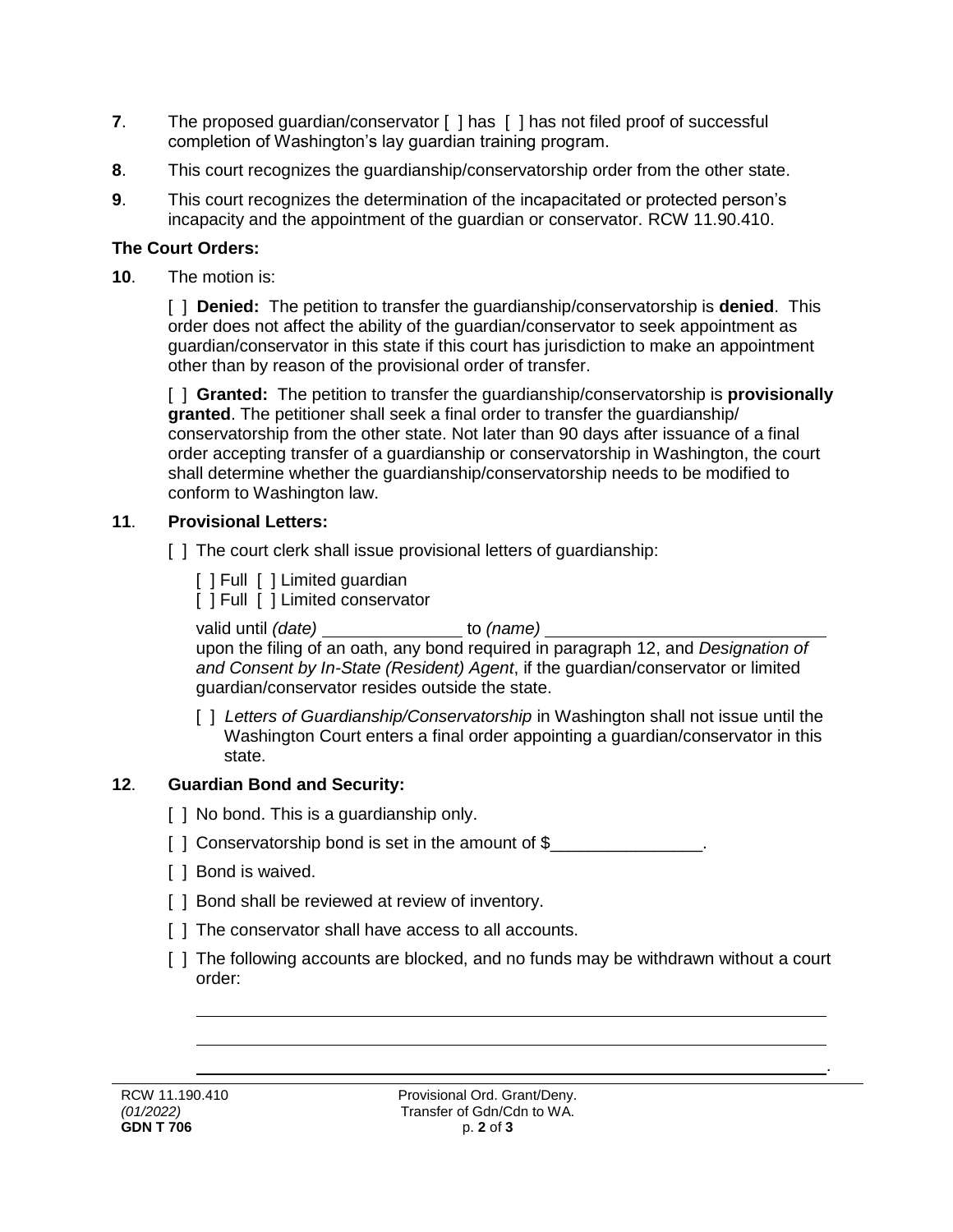- **7**. The proposed quardian/conservator [ ] has [ ] has not filed proof of successful completion of Washington's lay guardian training program.
- **8**. This court recognizes the guardianship/conservatorship order from the other state.
- **9**. This court recognizes the determination of the incapacitated or protected person's incapacity and the appointment of the guardian or conservator. RCW 11.90.410.

#### **The Court Orders:**

**10**. The motion is:

[ ] **Denied:** The petition to transfer the guardianship/conservatorship is **denied**. This order does not affect the ability of the guardian/conservator to seek appointment as guardian/conservator in this state if this court has jurisdiction to make an appointment other than by reason of the provisional order of transfer.

[ ] **Granted:** The petition to transfer the guardianship/conservatorship is **provisionally granted**. The petitioner shall seek a final order to transfer the guardianship/ conservatorship from the other state. Not later than 90 days after issuance of a final order accepting transfer of a guardianship or conservatorship in Washington, the court shall determine whether the guardianship/conservatorship needs to be modified to conform to Washington law.

#### **11**. **Provisional Letters:**

- [ ] The court clerk shall issue provisional letters of guardianship:
	- [ ] Full [ ] Limited guardian
	- [ ] Full [ ] Limited conservator

valid until *(date)* to *(name)* to *(name)* 

upon the filing of an oath, any bond required in paragraph 12, and *Designation of and Consent by In-State (Resident) Agent*, if the guardian/conservator or limited guardian/conservator resides outside the state.

[ ] *Letters of Guardianship/Conservatorship* in Washington shall not issue until the Washington Court enters a final order appointing a guardian/conservator in this state.

### **12**. **Guardian Bond and Security:**

- [ ] No bond. This is a guardianship only.
- [] Conservatorship bond is set in the amount of \$\_\_\_\_\_\_\_\_\_\_\_\_\_\_\_\_.
- [ ] Bond is waived.
- [ ] Bond shall be reviewed at review of inventory.
- [] The conservator shall have access to all accounts.
- [ ] The following accounts are blocked, and no funds may be withdrawn without a court order:

.